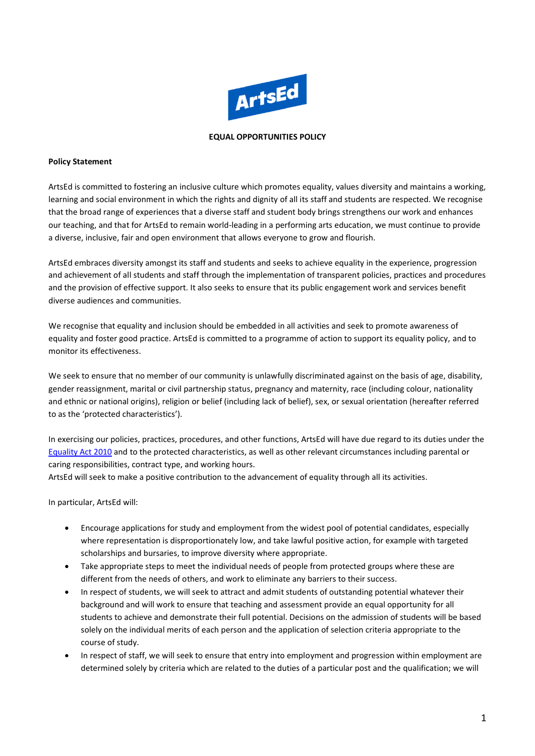

### **EQUAL OPPORTUNITIES POLICY**

### **Policy Statement**

ArtsEd is committed to fostering an inclusive culture which promotes equality, values diversity and maintains a working, learning and social environment in which the rights and dignity of all its staff and students are respected. We recognise that the broad range of experiences that a diverse staff and student body brings strengthens our work and enhances our teaching, and that for ArtsEd to remain world-leading in a performing arts education, we must continue to provide a diverse, inclusive, fair and open environment that allows everyone to grow and flourish.

ArtsEd embraces diversity amongst its staff and students and seeks to achieve equality in the experience, progression and achievement of all students and staff through the implementation of transparent policies, practices and procedures and the provision of effective support. It also seeks to ensure that its public engagement work and services benefit diverse audiences and communities.

We recognise that equality and inclusion should be embedded in all activities and seek to promote awareness of equality and foster good practice. ArtsEd is committed to a programme of action to support its equality policy, and to monitor its effectiveness.

We seek to ensure that no member of our community is unlawfully discriminated against on the basis of age, disability, gender reassignment, marital or civil partnership status, pregnancy and maternity, race (including colour, nationality and ethnic or national origins), religion or belief (including lack of belief), sex, or sexual orientation (hereafter referred to as the 'protected characteristics').

In exercising our policies, practices, procedures, and other functions, ArtsEd will have due regard to its duties under the [Equality Act 2010](https://www.gov.uk/guidance/equality-act-2010-guidance) and to the protected characteristics, as well as other relevant circumstances including parental or caring responsibilities, contract type, and working hours.

ArtsEd will seek to make a positive contribution to the advancement of equality through all its activities.

In particular, ArtsEd will:

- Encourage applications for study and employment from the widest pool of potential candidates, especially where representation is disproportionately low, and take lawful positive action, for example with targeted scholarships and bursaries, to improve diversity where appropriate.
- Take appropriate steps to meet the individual needs of people from protected groups where these are different from the needs of others, and work to eliminate any barriers to their success.
- In respect of students, we will seek to attract and admit students of outstanding potential whatever their background and will work to ensure that teaching and assessment provide an equal opportunity for all students to achieve and demonstrate their full potential. Decisions on the admission of students will be based solely on the individual merits of each person and the application of selection criteria appropriate to the course of study.
- In respect of staff, we will seek to ensure that entry into employment and progression within employment are determined solely by criteria which are related to the duties of a particular post and the qualification; we will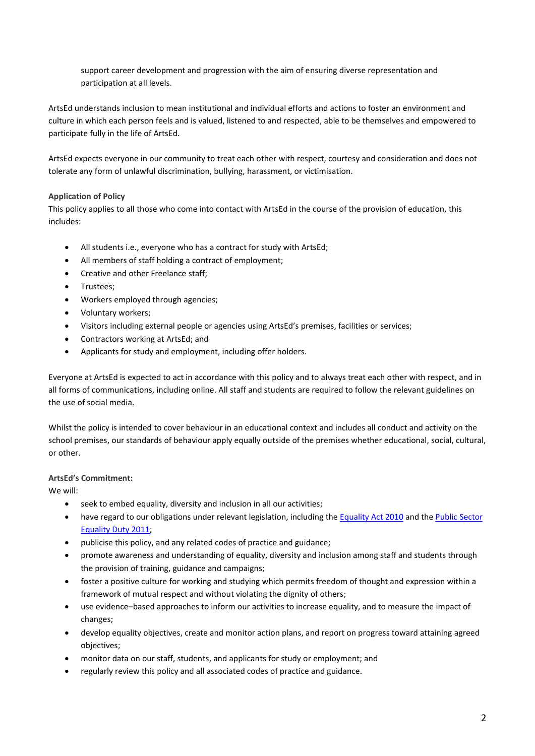support career development and progression with the aim of ensuring diverse representation and participation at all levels.

ArtsEd understands inclusion to mean institutional and individual efforts and actions to foster an environment and culture in which each person feels and is valued, listened to and respected, able to be themselves and empowered to participate fully in the life of ArtsEd.

ArtsEd expects everyone in our community to treat each other with respect, courtesy and consideration and does not tolerate any form of unlawful discrimination, bullying, harassment, or victimisation.

# **Application of Policy**

This policy applies to all those who come into contact with ArtsEd in the course of the provision of education, this includes:

- All students i.e., everyone who has a contract for study with ArtsEd;
- All members of staff holding a contract of employment;
- Creative and other Freelance staff;
- Trustees;
- Workers employed through agencies;
- Voluntary workers;
- Visitors including external people or agencies using ArtsEd's premises, facilities or services;
- Contractors working at ArtsEd; and
- Applicants for study and employment, including offer holders.

Everyone at ArtsEd is expected to act in accordance with this policy and to always treat each other with respect, and in all forms of communications, including online. All staff and students are required to follow the relevant guidelines on the use of social media.

Whilst the policy is intended to cover behaviour in an educational context and includes all conduct and activity on the school premises, our standards of behaviour apply equally outside of the premises whether educational, social, cultural, or other.

# **ArtsEd's Commitment:**

We will:

- seek to embed equality, diversity and inclusion in all our activities;
- have regard to our obligations under relevant legislation, including the [Equality Act 2010](https://www.gov.uk/guidance/equality-act-2010-guidance) and the [Public Sector](https://www.equalityhumanrights.com/en/advice-and-guidance/public-sector-equality-duty)  [Equality Duty 2011;](https://www.equalityhumanrights.com/en/advice-and-guidance/public-sector-equality-duty)
- publicise this policy, and any related codes of practice and guidance;
- promote awareness and understanding of equality, diversity and inclusion among staff and students through the provision of training, guidance and campaigns;
- foster a positive culture for working and studying which permits freedom of thought and expression within a framework of mutual respect and without violating the dignity of others;
- use evidence–based approaches to inform our activities to increase equality, and to measure the impact of changes;
- develop equality objectives, create and monitor action plans, and report on progress toward attaining agreed objectives;
- monitor data on our staff, students, and applicants for study or employment; and
- regularly review this policy and all associated codes of practice and guidance.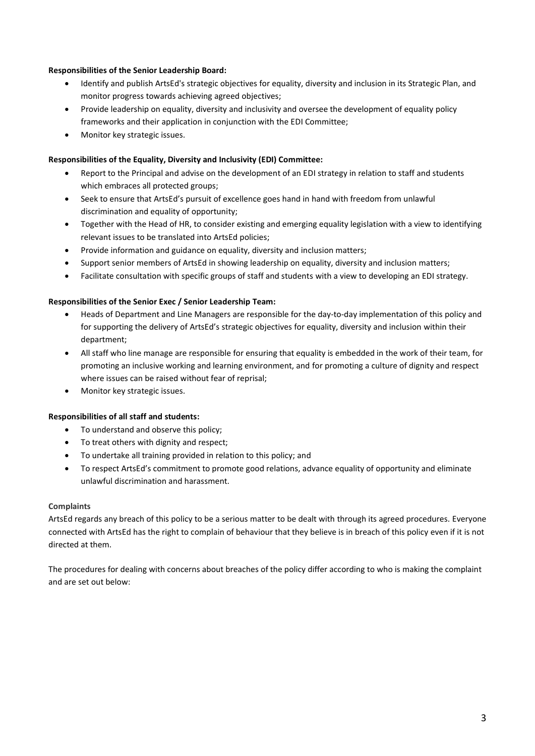# **Responsibilities of the Senior Leadership Board:**

- Identify and publish ArtsEd's strategic objectives for equality, diversity and inclusion in its Strategic Plan, and monitor progress towards achieving agreed objectives;
- Provide leadership on equality, diversity and inclusivity and oversee the development of equality policy frameworks and their application in conjunction with the EDI Committee;
- Monitor key strategic issues.

# **Responsibilities of the Equality, Diversity and Inclusivity (EDI) Committee:**

- Report to the Principal and advise on the development of an EDI strategy in relation to staff and students which embraces all protected groups;
- Seek to ensure that ArtsEd's pursuit of excellence goes hand in hand with freedom from unlawful discrimination and equality of opportunity;
- Together with the Head of HR, to consider existing and emerging equality legislation with a view to identifying relevant issues to be translated into ArtsEd policies;
- Provide information and guidance on equality, diversity and inclusion matters;
- Support senior members of ArtsEd in showing leadership on equality, diversity and inclusion matters;
- Facilitate consultation with specific groups of staff and students with a view to developing an EDI strategy.

#### **Responsibilities of the Senior Exec / Senior Leadership Team:**

- Heads of Department and Line Managers are responsible for the day-to-day implementation of this policy and for supporting the delivery of ArtsEd's strategic objectives for equality, diversity and inclusion within their department;
- All staff who line manage are responsible for ensuring that equality is embedded in the work of their team, for promoting an inclusive working and learning environment, and for promoting a culture of dignity and respect where issues can be raised without fear of reprisal;
- Monitor key strategic issues.

#### **Responsibilities of all staff and students:**

- To understand and observe this policy;
- To treat others with dignity and respect;
- To undertake all training provided in relation to this policy; and
- To respect ArtsEd's commitment to promote good relations, advance equality of opportunity and eliminate unlawful discrimination and harassment.

### **Complaints**

ArtsEd regards any breach of this policy to be a serious matter to be dealt with through its agreed procedures. Everyone connected with ArtsEd has the right to complain of behaviour that they believe is in breach of this policy even if it is not directed at them.

The procedures for dealing with concerns about breaches of the policy differ according to who is making the complaint and are set out below: